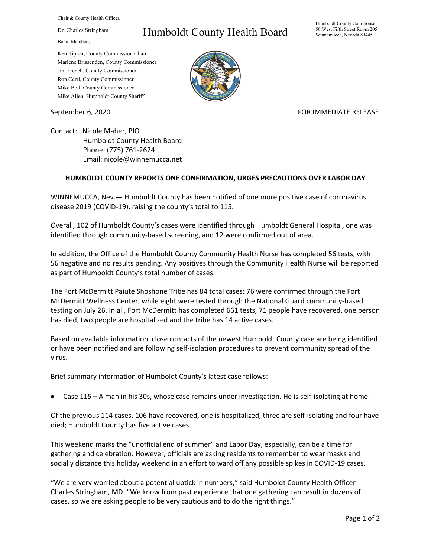Chair & County Health Officer,

Dr. Charles Stringham

Board Members,

## Humboldt County Health Board

Humboldt County Courthouse 50 West Fifth Street Room 205 Winnemucca, Nevada 89445

Ken Tipton, County Commission Chair Marlene Brissenden, County Commissioner Jim French, County Commissioner Ron Cerri, County Commissioner Mike Bell, County Commissioner Mike Allen, Humboldt County Sheriff

September 6, 2020 FOR IMMEDIATE RELEASE

Contact: Nicole Maher, PIO Humboldt County Health Board Phone: (775) 761-2624 Email: nicole@winnemucca.net

## **HUMBOLDT COUNTY REPORTS ONE CONFIRMATION, URGES PRECAUTIONS OVER LABOR DAY**

WINNEMUCCA, Nev.— Humboldt County has been notified of one more positive case of coronavirus disease 2019 (COVID-19), raising the county's total to 115.

Overall, 102 of Humboldt County's cases were identified through Humboldt General Hospital, one was identified through community-based screening, and 12 were confirmed out of area.

In addition, the Office of the Humboldt County Community Health Nurse has completed 56 tests, with 56 negative and no results pending. Any positives through the Community Health Nurse will be reported as part of Humboldt County's total number of cases.

The Fort McDermitt Paiute Shoshone Tribe has 84 total cases; 76 were confirmed through the Fort McDermitt Wellness Center, while eight were tested through the National Guard community-based testing on July 26. In all, Fort McDermitt has completed 661 tests, 71 people have recovered, one person has died, two people are hospitalized and the tribe has 14 active cases.

Based on available information, close contacts of the newest Humboldt County case are being identified or have been notified and are following self-isolation procedures to prevent community spread of the virus.

Brief summary information of Humboldt County's latest case follows:

• Case 115 – A man in his 30s, whose case remains under investigation. He is self-isolating at home.

Of the previous 114 cases, 106 have recovered, one is hospitalized, three are self-isolating and four have died; Humboldt County has five active cases.

This weekend marks the "unofficial end of summer" and Labor Day, especially, can be a time for gathering and celebration. However, officials are asking residents to remember to wear masks and socially distance this holiday weekend in an effort to ward off any possible spikes in COVID-19 cases.

"We are very worried about a potential uptick in numbers," said Humboldt County Health Officer Charles Stringham, MD. "We know from past experience that one gathering can result in dozens of cases, so we are asking people to be very cautious and to do the right things."